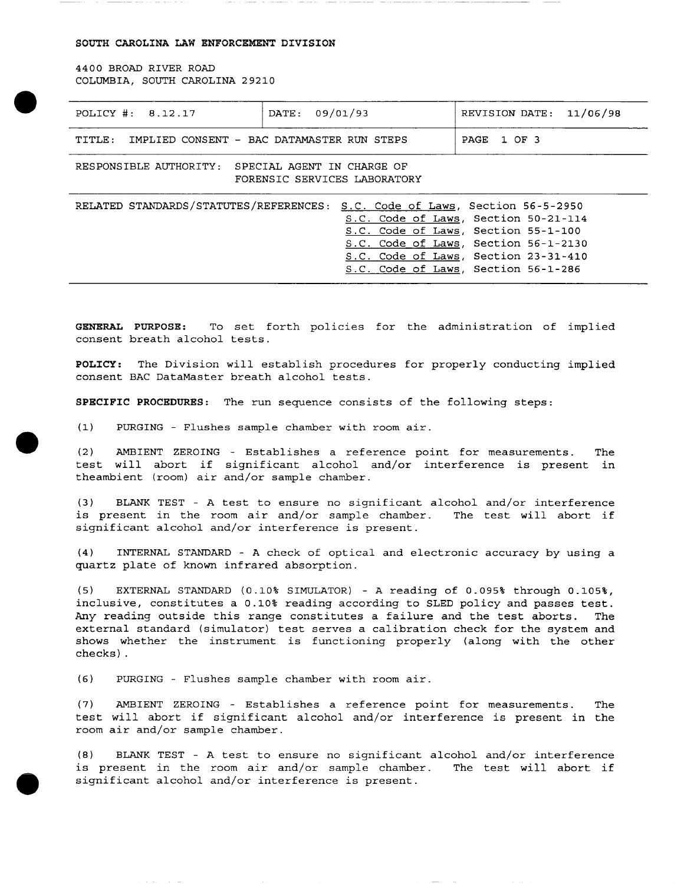## SOUTH CAROLINA LAW ENFORCEMENT DIVISION

4400 BROAD RIVER ROAD COLUMBIA, SOUTH CAROLINA 29210

•

•

•

| POLICY #: $8.12.17$                                                                                                                                                                                                                                                                           | 09/01/93<br>DATE: | 11/06/98<br>REVISION DATE: |
|-----------------------------------------------------------------------------------------------------------------------------------------------------------------------------------------------------------------------------------------------------------------------------------------------|-------------------|----------------------------|
| TITLE:<br>IMPLIED CONSENT - BAC DATAMASTER RUN STEPS                                                                                                                                                                                                                                          |                   | 1 OF 3<br>PAGE             |
| RESPONSIBLE AUTHORITY:<br>SPECIAL AGENT IN CHARGE OF<br>FORENSIC SERVICES LABORATORY                                                                                                                                                                                                          |                   |                            |
| RELATED STANDARDS/STATUTES/REFERENCES:<br>Section 56-5-2950<br>S.C. Code of Laws,<br>S.C. Code of Laws, Section 50-21-114<br>S.C. Code of Laws, Section 55-1-100<br>Section 56-1-2130<br>S.C. Code of Laws,<br>Section 23-31-410<br>S.C. Code of Laws,<br>S.C. Code of Laws, Section 56-1-286 |                   |                            |

GENERAL PURPOSE: To set forth policies for the administration of implied consent breath alcohol tests.

**POLICY:** The Division will establish procedures for properly conducting implied consent BAC DataMaster breath alcohol tests.

**SPECIFIC PROCEDURES:** The run sequence consists of the following steps:

(1) PURGING - Flushes sample chamber with room air .

(2) AMBIENT ZEROING - Establishes a reference point for measurements. test will abort if significant alcohol and/or interference is present in theambient (room) air and/or sample chamber. The

(3) BLANK TEST - A test to ensure no significant alcohol and/or interference<br>is present in the room air and/or sample chamber. The test will abort if is present in the room air and/or sample chamber. significant alcohol and/or interference is present.

(4) INTERNAL STANDARD - A check of optical and electronic accuracy by using a quartz plate of known infrared absorption.

(5) EXTERNAL STANDARD (0.10% SIMULATOR) - A reading of 0.095% through 0.105%, inclusive, constitutes a 0.10% reading according to SLED policy and passes test. Any reading outside this range constitutes a failure and the test aborts. The external standard (simulator) test serves a calibration check for the system and shows whether the instrument is functioning properly (along with the other checks) .

(6) PURGING - Flushes sample chamber with room air.

(7) AMBIENT ZEROING - Establishes a reference point for measurements. The test will abort if significant alcohol and/or interference is present in the room air and/or sample chamber.

(8) BLANK TEST - A test to ensure no significant alcohol and/or interference is present in the room air and/or sample chamber. significant alcohol and/or interference is present.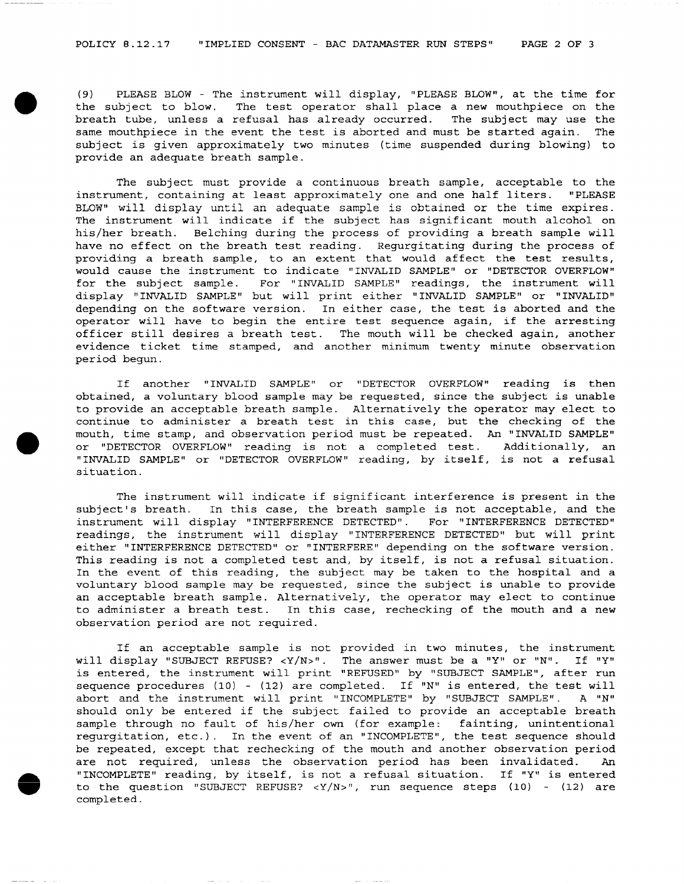•

•

(9) PLEASE BLOW - The instrument will display, "PLEASE BLOW", at the time for the subject to blow. The test operator shall place a new mouthpiece on the breath tube, unless a refusal has already occurred. The subject may use the same mouthpiece in the event the test is aborted and must be started again. The subject is given approximately two minutes (time suspended during blowing) to provide an adequate breath sample.

The subject must provide a continuous breath sample, acceptable to the instrument, containing at least approximately one and one half liters. "PLEASE BLOW" will display until an adequate sample is obtained or the time expires. The instrument will indicate if the subject has significant mouth alcohol on his/her breath. Belching during the process of providing a breath sample will have no effect on the breath test reading. Regurgitating during the process of providing a breath sample, to an extent that would affect the test results, would cause the instrument to indicate "INVALID SAMPLE" or "DETECTOR OVERFLOW" for the subject sample. For "INVALID SAMPLE" readings, the instrument will display "INVALID SAMPLE" but will print either "INVALID SAMPLE" or "INVALID" depending on the software version. In either case, the test is aborted and the operator will have to begin the entire test sequence again, if the arresting officer still desires a breath test. The mouth will be checked again, another evidence ticket time stamped, and another minimum twenty minute observation period begun.

If another "INVALID SAMPLE" or "DETECTOR OVERFLOW" reading is then obtained, a voluntary blood sample may be requested, since the subject is unable to provide an acceptable breath sample. Alternatively the operator may elect to continue to administer a breath test in this case, but the checking of the mouth, time stamp, and observation period must be repeated. An "INVALID SAMPLE" or "DETECTOR OVERFLOW" reading is not a completed test. Additionally, an "INVALID SAMPLE" or "DETECTOR OVERFLOW" reading, by itself, is not a refusal situation.

The instrument will indicate if significant interference is present in the subject's breath. In this case, the breath sample is not acceptable, and the In this case, the breath sample is not acceptable, and the instrument will display "INTERFERENCE DETECTED". For "INTERFERENCE DETECTED" readings, the instrument will display "INTERFERENCE DETECTED" but will print either "INTERFERENCE DETECTED" or "INTERFERE" depending on the software version. This reading is not a completed test and, by itself, is not a refusal situation. In the event of this reading, the subject may be taken to the hospital and a voluntary blood sample may be requested, since the subject is unable to provide an acceptable breath sample. Alternatively, the operator may elect to continue to administer a breath test. In this case, rechecking of the mouth and a new observation period are not required.

If an acceptable sample is not provided in two minutes, the instrument will display "SUBJECT REFUSE? <Y/N>". The answer must be a "Y" or "N". If "Y" is entered, the instrument will print "REFUSED" by "SUBJECT SAMPLE", after run sequence procedures  $(10)$  -  $(12)$  are completed. If "N" is entered, the test will abort and the instrument will print "INCOMPLETE" by "SUBJECT SAMPLE". A "N" should only be entered if the subject failed to provide an acceptable breath sample through no fault of his/her own (for example: fainting, unintentional regurgitation, etc.). In the event of an "INCOMPLETE", the test sequence should be repeated, except that rechecking of the mouth and another observation period are not required, unless the observation period has been invalidated. An "INCOMPLETE" reading, by itself, is not a refusal situation. If "Y" is entered to the question "SUBJECT REFUSE?  $< Y/N >$ ", run sequence steps (10) - (12) are completed.